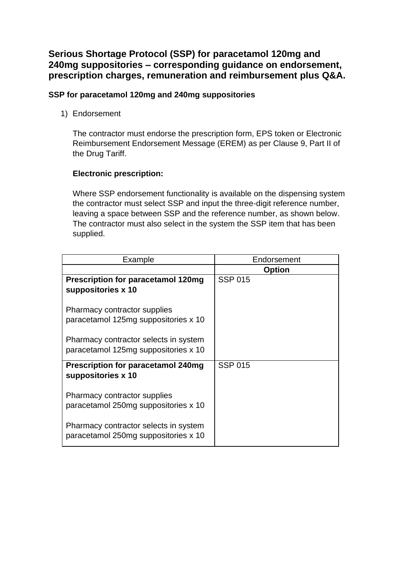# **Serious Shortage Protocol (SSP) for paracetamol 120mg and 240mg suppositories – corresponding guidance on endorsement, prescription charges, remuneration and reimbursement plus Q&A.**

# **SSP for paracetamol 120mg and 240mg suppositories**

1) Endorsement

The contractor must endorse the prescription form, EPS token or Electronic Reimbursement Endorsement Message (EREM) as per Clause 9, Part II of the Drug Tariff.

# **Electronic prescription:**

Where SSP endorsement functionality is available on the dispensing system the contractor must select SSP and input the three-digit reference number, leaving a space between SSP and the reference number, as shown below. The contractor must also select in the system the SSP item that has been supplied.

| Example                                                                       | Endorsement    |
|-------------------------------------------------------------------------------|----------------|
|                                                                               | <b>Option</b>  |
| <b>Prescription for paracetamol 120mg</b><br>suppositories x 10               | <b>SSP 015</b> |
| Pharmacy contractor supplies<br>paracetamol 125mg suppositories x 10          |                |
| Pharmacy contractor selects in system<br>paracetamol 125mg suppositories x 10 |                |
| <b>Prescription for paracetamol 240mg</b><br>suppositories x 10               | <b>SSP 015</b> |
| Pharmacy contractor supplies<br>paracetamol 250mg suppositories x 10          |                |
| Pharmacy contractor selects in system<br>paracetamol 250mg suppositories x 10 |                |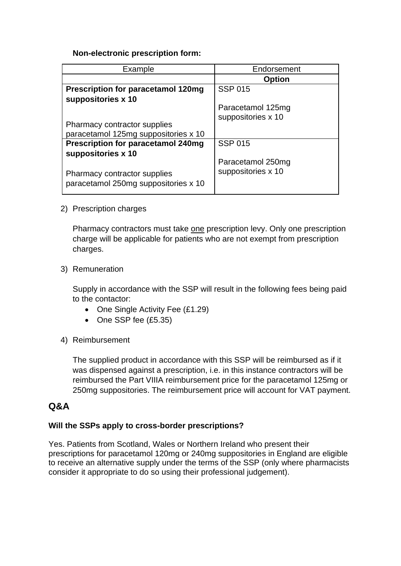# **Non-electronic prescription form:**

| Example                                   | Endorsement        |
|-------------------------------------------|--------------------|
|                                           | <b>Option</b>      |
| <b>Prescription for paracetamol 120mg</b> | <b>SSP 015</b>     |
| suppositories x 10                        |                    |
|                                           | Paracetamol 125mg  |
|                                           | suppositories x 10 |
| Pharmacy contractor supplies              |                    |
| paracetamol 125mg suppositories x 10      |                    |
| <b>Prescription for paracetamol 240mg</b> | <b>SSP 015</b>     |
| suppositories x 10                        |                    |
|                                           | Paracetamol 250mg  |
| Pharmacy contractor supplies              | suppositories x 10 |
| paracetamol 250mg suppositories x 10      |                    |
|                                           |                    |

# 2) Prescription charges

Pharmacy contractors must take one prescription levy. Only one prescription charge will be applicable for patients who are not exempt from prescription charges.

#### 3) Remuneration

Supply in accordance with the SSP will result in the following fees being paid to the contactor:

- One Single Activity Fee (£1.29)
- One SSP fee (£5.35)
- 4) Reimbursement

The supplied product in accordance with this SSP will be reimbursed as if it was dispensed against a prescription, i.e. in this instance contractors will be reimbursed the Part VIIIA reimbursement price for the paracetamol 125mg or 250mg suppositories. The reimbursement price will account for VAT payment.

# **Q&A**

# **Will the SSPs apply to cross-border prescriptions?**

Yes. Patients from Scotland, Wales or Northern Ireland who present their prescriptions for paracetamol 120mg or 240mg suppositories in England are eligible to receive an alternative supply under the terms of the SSP (only where pharmacists consider it appropriate to do so using their professional judgement).